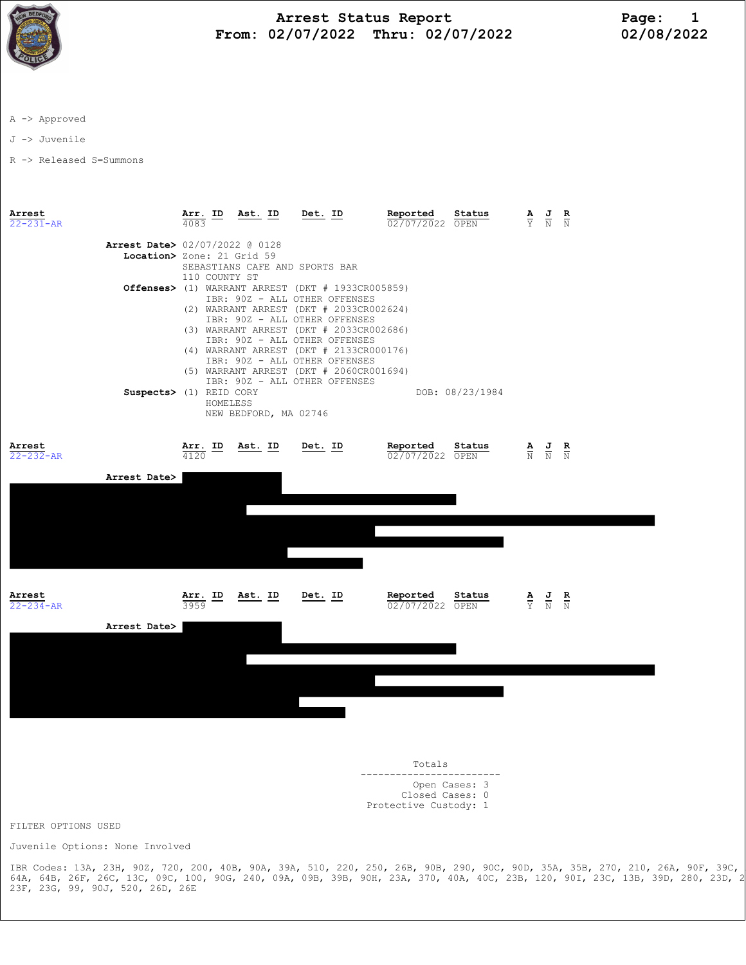

## Arrest Status Report Page: 1 From: 02/07/2022 Thru: 02/07/2022 02/08/2022

A -> Approved

J -> Juvenile

R -> Released S=Summons

Arrest Arr. ID Ast. ID Det. ID Reported Status A J R 22-231-AR 4083 02/07/2022 OPEN Y N N Arrest Date> 02/07/2022 @ 0128 Location> Zone: 21 Grid 59 SEBASTIANS CAFE AND SPORTS BAR 110 COUNTY ST Offenses> (1) WARRANT ARREST (DKT # 1933CR005859) IBR: 90Z - ALL OTHER OFFENSES (2) WARRANT ARREST (DKT # 2033CR002624) IBR: 90Z - ALL OTHER OFFENSES (3) WARRANT ARREST (DKT # 2033CR002686) IBR: 90Z - ALL OTHER OFFENSES (4) WARRANT ARREST (DKT # 2133CR000176) IBR: 90Z - ALL OTHER OFFENSES (5) WARRANT ARREST (DKT # 2060CR001694) IBR: 90Z - ALL OTHER OFFENSES Suspects> (1) REID CORY DOB: 08/23/1984 HOMELESS NEW BEDFORD, MA 02746 Arrest Arr. ID Ast. ID Det. ID Reported Status A J R 22-232-AR 4120 02/07/2022 OPEN N N N Arrest Date> **Arrest Arr. ID Ast. ID Det. ID Reported Status A J R**<br>22-234-AR 3959 **Arr. ID** Det. ID  $\frac{1}{02/07/2022} \frac{3}{\text{OPEN}}$  A J R  $02/07/2022$  OPEN Arrest Date>

 Totals ------------------------ Open Cases: 3 Closed Cases: 0 Protective Custody: 1

FILTER OPTIONS USED

Juvenile Options: None Involved

IBR Codes: 13A, 23H, 90Z, 720, 200, 40B, 90A, 39A, 510, 220, 250, 26B, 90B, 290, 90C, 90D, 35A, 35B, 270, 210, 26A, 90F, 39C, 26G, 64A, 64B, 26F, 26C, 13C, 09C, 100, 90G, 240, 09A, 09B, 39B, 90H, 23A, 370, 40A, 40C, 23B, 120, 90I, 23C, 13B, 39D, 280, 23D, 23E, 23F, 23G, 99, 90J, 520, 26D, 26E